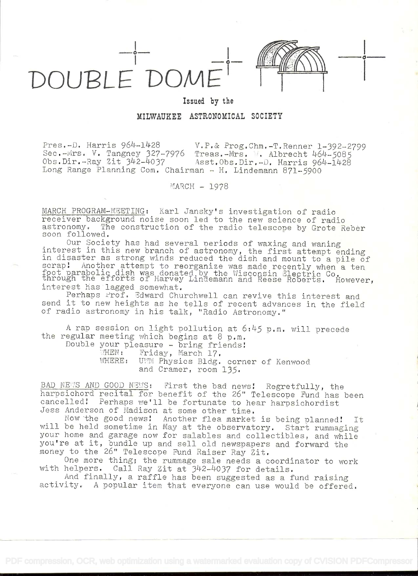

0

## Issued by the

MILWAUKEE ASTRONOMICAL SOCIETY

Pres,-iD. Harris 96)4'1Ll28 V.P,& .Prog.Chm.-T.Renner 1-392---2799 Sec.-Wrs. V. Tangney 327-7976 Treas.-Mrs. W. Albrecht 464-5085<br>Obs.Dir.-Rav Zit 342-4037 Asst.Obs.Dir.-D. Harris 964-1428 Asst.Obs.Dir.-D. Harris 964-1428 Long Range Planning Com. Chairman - H. Lindemann  $871-5900$ 

 $MARCH - 1978$ 

MARCH PROGRAM-MEETING: Karl Jansky's investigation of radio receiver background noise soon led to the new science of radio astronomy. The construction of the radio telescope by Grote Reber soon followed.

Our Society has had several periods of waxing and waning interest in this new branch of astronomy, the first attempt ending in disaster as strong winds reduced the dish and mount to a pile of In the straps are the manual reduced the dish and modified a pile of foot parabolic dish was donated by the Wisconsin Electric Co.<br>through the efforts of Harvey Lindemann and Reese Roberts. However, interest has lagged somewhat.

Perhaps Prof. Edward Churchwell can revive this interest and send it to new heights as he tells of recent advances ìn the field of radio astronomy in his talk, "Radio Astronomy."

A rap session on light pollution at  $6:45$  p.m. will precede the regular meeting which begins at 8 p.m.

Double your pleasure - bring friends! WHEN: Friday, March 17.<br>WHERE: UWM Physics Bldg. UVM Physics Bldg. corner of Kenwood and Cramer, room 135.

BAD NEWS AND GOOD NEWS: First the bad news! Regretfully, the harpsichord recital for benefit of the 26" Telescope Fund has been cancelled! Perhaps we'll be fortunate to hear harpsichordist Jess Anderson of Madison at some other time,

Now the good news! Another flea market is being planned! It will be held sometime in May at the observatory. Start rummaging your home and garage now for salables and collectibles, and while you're at it, bundle up and sell old newspapers and forward the money to the 26" Telescope Fund Raiser Ray Zit.

One more thing; the rummage sale needs a coordinator to work with helpers. Call Ray Zit at 342-4037 for details.

And finally, a raffle has been suggested as a fund raising activity. A popular item that everyone can use would be offered,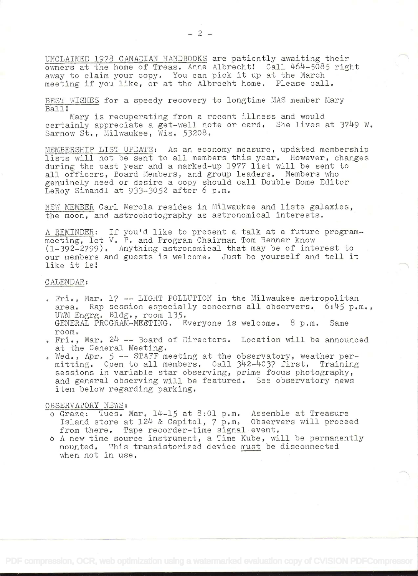UNCLAIMED 1978 CANADIAN HANDBOOKS are patiently awaiting their owners at the home of Treas. Anne Albrecht! Call 464-5085 right away to claim your copy. You can pick it up at the March meeting if you like, or at the Albrecht home. Please call.

BEST WISHES for a speedy recovery to longtime MAS member Mary Ball!

Mary is recuperating from a recent illness and would certainly appreciate a get-well note or card. She lives at 3749 W. Sarnow St., Milwaukee, Wis. 53208.

MEMBERSHIP LIST UPDATE: As an economy measure, updated membership lists will not be sent to all members this year. However, changes during the past year and a marked-up 1977 list will be sent to all officers, Board Members, and group leaders. Members who genuinely need or desire a copy should call Double Dome Editor LeRoy Simandl at 933-3052 after 6 p.m.

NEW MEMBER Carl Merola resides in Milwaukee and lists galaxies, the moon, and astrophotography as astronomical interests.

A REMINDER: If you'd like to present a talk at a future programmeeting, let V. P. and Program Chairman Tom Renner know (l-392-2799). Anything astronomical that may be of interest to our members and guests is welcome. Just be yourself and tell it like it is!

## CALENDAR:

- Fri., Mar. 17 -- LIGHT POLLUTION in the Milwaukee metropolitan area. Rap session especially concerns all observers.  $6:45$  p.m., UWM Engrg. Bldg. , room 135. GENERAL PROGRAM-MEETING. Everyone is welcome. 8 p.m. Same room.
- $\epsilon$  Fri., Mar. 24 -- Board of Directors. Location will be announced at the General Meeting.
- . Wed., Apr. 5 -- STAFF meeting at the observatory, weather permitting. Open to all members. Call 342-4037 first. Training sessions in variable star observing, prime focus photography, and general observing will be featured. See observatory news item below regarding parking.

## OBSERVATORY NEWS:

- $o$  Graze: Tues. Mar.  $14-15$  at  $8:01$  p.m. Assemble at Treasure Island store at 124 & Capitol, 7 p.m. Observers will proceed from there. Tape recorder-time signal event.
- <sup>o</sup>A new time source instrument, a Time Kube, will be permanently mounted. This transistorized device must be disconnected when not in use.